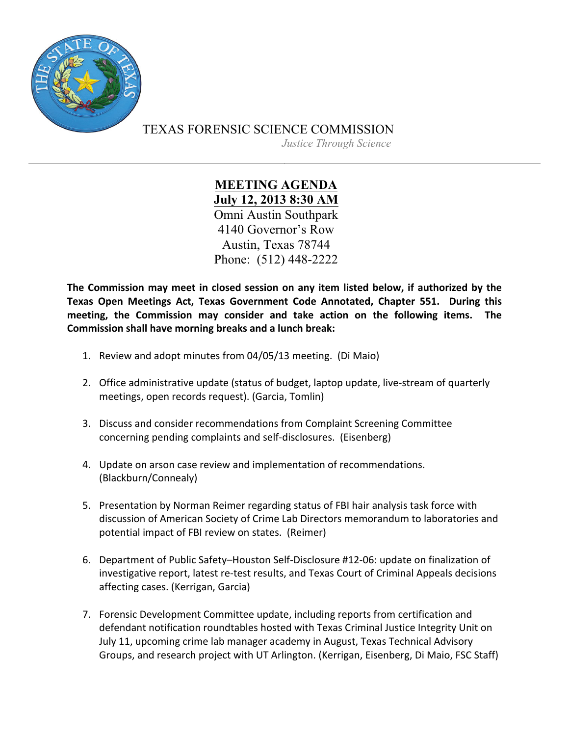

TEXAS FORENSIC SCIENCE COMMISSION

*Justice Through Science*

**MEETING AGENDA July 12, 2013 8:30 AM** Omni Austin Southpark 4140 Governor's Row Austin, Texas 78744 Phone: (512) 448-2222

The Commission may meet in closed session on any item listed below, if authorized by the Texas Open Meetings Act, Texas Government Code Annotated, Chapter 551. During this meeting, the Commission may consider and take action on the following items. The **Commission shall have morning breaks and a lunch break:** 

- 1. Review and adopt minutes from 04/05/13 meeting. (Di Maio)
- 2. Office administrative update (status of budget, laptop update, live-stream of quarterly meetings, open records request). (Garcia, Tomlin)
- 3. Discuss and consider recommendations from Complaint Screening Committee concerning pending complaints and self-disclosures. (Eisenberg)
- 4. Update on arson case review and implementation of recommendations. (Blackburn/Connealy)
- 5. Presentation by Norman Reimer regarding status of FBI hair analysis task force with discussion of American Society of Crime Lab Directors memorandum to laboratories and potential impact of FBI review on states. (Reimer)
- 6. Department of Public Safety-Houston Self-Disclosure #12-06: update on finalization of investigative report, latest re-test results, and Texas Court of Criminal Appeals decisions affecting cases. (Kerrigan, Garcia)
- 7. Forensic Development Committee update, including reports from certification and defendant notification roundtables hosted with Texas Criminal Justice Integrity Unit on July 11, upcoming crime lab manager academy in August, Texas Technical Advisory Groups, and research project with UT Arlington. (Kerrigan, Eisenberg, Di Maio, FSC Staff)